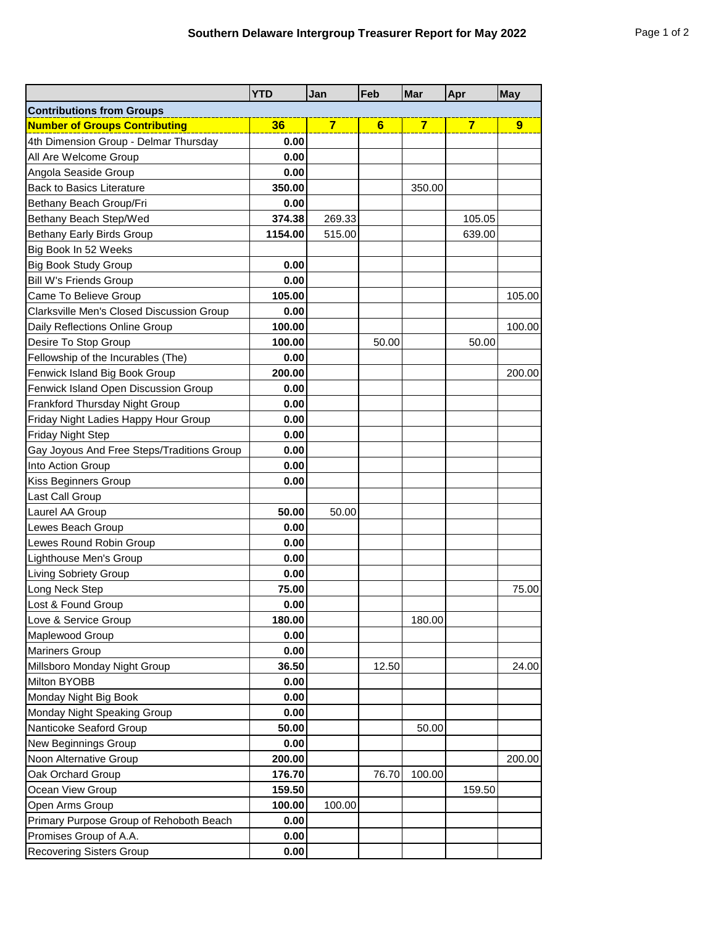|                                            | <b>YTD</b> | Jan            | Feb   | Mar            | Apr            | <b>May</b>     |
|--------------------------------------------|------------|----------------|-------|----------------|----------------|----------------|
| <b>Contributions from Groups</b>           |            |                |       |                |                |                |
| <b>Number of Groups Contributing</b>       | 36         | $\overline{7}$ | 6     | $\overline{7}$ | $\overline{7}$ | $\overline{9}$ |
| 4th Dimension Group - Delmar Thursday      | 0.00       |                |       |                |                |                |
| All Are Welcome Group                      | 0.00       |                |       |                |                |                |
| Angola Seaside Group                       | 0.00       |                |       |                |                |                |
| <b>Back to Basics Literature</b>           | 350.00     |                |       | 350.00         |                |                |
| Bethany Beach Group/Fri                    | 0.00       |                |       |                |                |                |
| Bethany Beach Step/Wed                     | 374.38     | 269.33         |       |                | 105.05         |                |
| <b>Bethany Early Birds Group</b>           | 1154.00    | 515.00         |       |                | 639.00         |                |
| Big Book In 52 Weeks                       |            |                |       |                |                |                |
| <b>Big Book Study Group</b>                | 0.00       |                |       |                |                |                |
| <b>Bill W's Friends Group</b>              | 0.00       |                |       |                |                |                |
| Came To Believe Group                      | 105.00     |                |       |                |                | 105.00         |
| Clarksville Men's Closed Discussion Group  | 0.00       |                |       |                |                |                |
| Daily Reflections Online Group             | 100.00     |                |       |                |                | 100.00         |
| Desire To Stop Group                       | 100.00     |                | 50.00 |                | 50.00          |                |
| Fellowship of the Incurables (The)         | 0.00       |                |       |                |                |                |
| Fenwick Island Big Book Group              | 200.00     |                |       |                |                | 200.00         |
| Fenwick Island Open Discussion Group       | 0.00       |                |       |                |                |                |
| Frankford Thursday Night Group             | 0.00       |                |       |                |                |                |
| Friday Night Ladies Happy Hour Group       | 0.00       |                |       |                |                |                |
| <b>Friday Night Step</b>                   | 0.00       |                |       |                |                |                |
| Gay Joyous And Free Steps/Traditions Group | 0.00       |                |       |                |                |                |
| Into Action Group                          | 0.00       |                |       |                |                |                |
| Kiss Beginners Group                       | 0.00       |                |       |                |                |                |
| Last Call Group                            |            |                |       |                |                |                |
| Laurel AA Group                            | 50.00      | 50.00          |       |                |                |                |
| Lewes Beach Group                          | 0.00       |                |       |                |                |                |
| Lewes Round Robin Group                    | 0.00       |                |       |                |                |                |
| Lighthouse Men's Group                     | 0.00       |                |       |                |                |                |
| <b>Living Sobriety Group</b>               | 0.00       |                |       |                |                |                |
| Long Neck Step                             | 75.00      |                |       |                |                | 75.00          |
| Lost & Found Group                         | 0.00       |                |       |                |                |                |
| Love & Service Group                       | 180.00     |                |       | 180.00         |                |                |
| Maplewood Group                            | 0.00       |                |       |                |                |                |
| <b>Mariners Group</b>                      | 0.00       |                |       |                |                |                |
| Millsboro Monday Night Group               | 36.50      |                | 12.50 |                |                | 24.00          |
| Milton BYOBB                               | 0.00       |                |       |                |                |                |
| Monday Night Big Book                      | 0.00       |                |       |                |                |                |
| Monday Night Speaking Group                | 0.00       |                |       |                |                |                |
| Nanticoke Seaford Group                    | 50.00      |                |       | 50.00          |                |                |
| New Beginnings Group                       | 0.00       |                |       |                |                |                |
| Noon Alternative Group                     | 200.00     |                |       |                |                | 200.00         |
| Oak Orchard Group                          | 176.70     |                | 76.70 | 100.00         |                |                |
| Ocean View Group                           | 159.50     |                |       |                | 159.50         |                |
| Open Arms Group                            | 100.00     | 100.00         |       |                |                |                |
| Primary Purpose Group of Rehoboth Beach    | 0.00       |                |       |                |                |                |
| Promises Group of A.A.                     | 0.00       |                |       |                |                |                |
| <b>Recovering Sisters Group</b>            | 0.00       |                |       |                |                |                |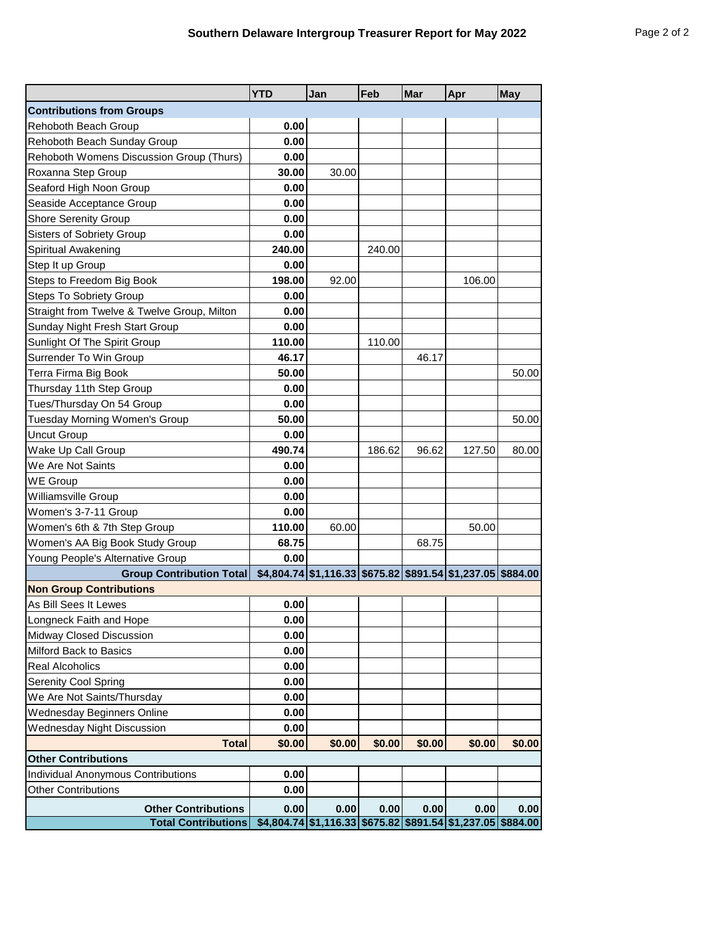|                                             | <b>YTD</b> | Jan                                                               | Feb    | Mar    | Apr    | <b>May</b> |
|---------------------------------------------|------------|-------------------------------------------------------------------|--------|--------|--------|------------|
| <b>Contributions from Groups</b>            |            |                                                                   |        |        |        |            |
| Rehoboth Beach Group                        | 0.00       |                                                                   |        |        |        |            |
| Rehoboth Beach Sunday Group                 | 0.00       |                                                                   |        |        |        |            |
| Rehoboth Womens Discussion Group (Thurs)    | 0.00       |                                                                   |        |        |        |            |
| Roxanna Step Group                          | 30.00      | 30.00                                                             |        |        |        |            |
| Seaford High Noon Group                     | 0.00       |                                                                   |        |        |        |            |
| Seaside Acceptance Group                    | 0.00       |                                                                   |        |        |        |            |
| <b>Shore Serenity Group</b>                 | 0.00       |                                                                   |        |        |        |            |
| Sisters of Sobriety Group                   | 0.00       |                                                                   |        |        |        |            |
| Spiritual Awakening                         | 240.00     |                                                                   | 240.00 |        |        |            |
| Step It up Group                            | 0.00       |                                                                   |        |        |        |            |
| Steps to Freedom Big Book                   | 198.00     | 92.00                                                             |        |        | 106.00 |            |
| <b>Steps To Sobriety Group</b>              | 0.00       |                                                                   |        |        |        |            |
| Straight from Twelve & Twelve Group, Milton | 0.00       |                                                                   |        |        |        |            |
| Sunday Night Fresh Start Group              | 0.00       |                                                                   |        |        |        |            |
| Sunlight Of The Spirit Group                | 110.00     |                                                                   | 110.00 |        |        |            |
| Surrender To Win Group                      | 46.17      |                                                                   |        | 46.17  |        |            |
| Terra Firma Big Book                        | 50.00      |                                                                   |        |        |        | 50.00      |
| Thursday 11th Step Group                    | 0.00       |                                                                   |        |        |        |            |
| Tues/Thursday On 54 Group                   | 0.00       |                                                                   |        |        |        |            |
| Tuesday Morning Women's Group               | 50.00      |                                                                   |        |        |        | 50.00      |
| <b>Uncut Group</b>                          | 0.00       |                                                                   |        |        |        |            |
| Wake Up Call Group                          | 490.74     |                                                                   | 186.62 | 96.62  | 127.50 | 80.00      |
| We Are Not Saints                           | 0.00       |                                                                   |        |        |        |            |
| <b>WE Group</b>                             | 0.00       |                                                                   |        |        |        |            |
| Williamsville Group                         | 0.00       |                                                                   |        |        |        |            |
| Women's 3-7-11 Group                        | 0.00       |                                                                   |        |        |        |            |
| Women's 6th & 7th Step Group                | 110.00     | 60.00                                                             |        |        | 50.00  |            |
| Women's AA Big Book Study Group             | 68.75      |                                                                   |        | 68.75  |        |            |
| Young People's Alternative Group            | 0.00       |                                                                   |        |        |        |            |
| <b>Group Contribution Total</b>             |            | $$4,804.74$ $$1,116.33$ $$675.82$ $$891.54$ $$1,237.05$ $$884.00$ |        |        |        |            |
| <b>Non Group Contributions</b>              |            |                                                                   |        |        |        |            |
| As Bill Sees It Lewes                       | 0.00       |                                                                   |        |        |        |            |
| Longneck Faith and Hope                     | 0.00       |                                                                   |        |        |        |            |
| Midway Closed Discussion                    | 0.00       |                                                                   |        |        |        |            |
| Milford Back to Basics                      | 0.00       |                                                                   |        |        |        |            |
| Real Alcoholics                             | 0.00       |                                                                   |        |        |        |            |
| Serenity Cool Spring                        | 0.00       |                                                                   |        |        |        |            |
| We Are Not Saints/Thursday                  | 0.00       |                                                                   |        |        |        |            |
| <b>Wednesday Beginners Online</b>           | 0.00       |                                                                   |        |        |        |            |
| Wednesday Night Discussion                  | 0.00       |                                                                   |        |        |        |            |
| <b>Total</b>                                | \$0.00     | \$0.00                                                            | \$0.00 | \$0.00 | \$0.00 | \$0.00     |
| <b>Other Contributions</b>                  |            |                                                                   |        |        |        |            |
| <b>Individual Anonymous Contributions</b>   | 0.00       |                                                                   |        |        |        |            |
| <b>Other Contributions</b>                  | 0.00       |                                                                   |        |        |        |            |
| <b>Other Contributions</b>                  | 0.00       | 0.00                                                              | 0.00   | 0.00   | 0.00   | 0.00       |
| <b>Total Contributions</b>                  |            | \$4,804.74 \$1,116.33 \$675.82 \$891.54 \$1,237.05 \$884.00       |        |        |        |            |